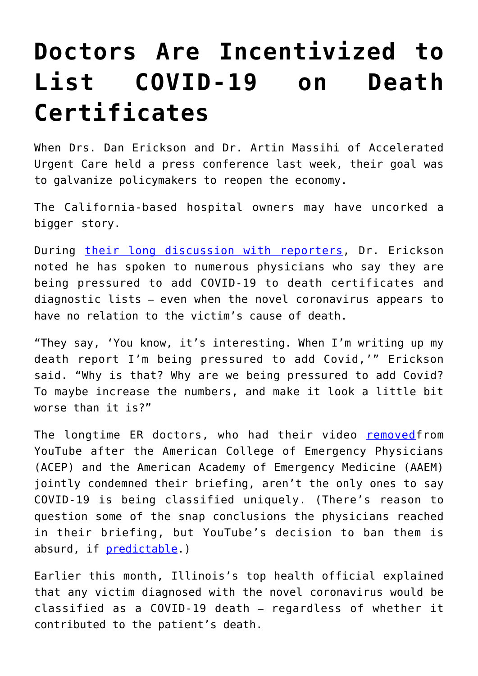## **[Doctors Are Incentivized to](https://intellectualtakeout.org/2020/04/doctors-are-incentivized-to-list-covid-19-on-death-certificates/) [List COVID-19 on Death](https://intellectualtakeout.org/2020/04/doctors-are-incentivized-to-list-covid-19-on-death-certificates/) [Certificates](https://intellectualtakeout.org/2020/04/doctors-are-incentivized-to-list-covid-19-on-death-certificates/)**

When Drs. Dan Erickson and Dr. Artin Massihi of Accelerated Urgent Care held a press conference last week, their goal was to galvanize policymakers to reopen the economy.

The California-based hospital owners may have uncorked a bigger story.

During [their long discussion with reporters](https://www.youtube.com/watch?v=vJprwe_rWeM#action=share), Dr. Erickson noted he has spoken to numerous physicians who say they are being pressured to add COVID-19 to death certificates and diagnostic lists – even when the novel coronavirus appears to have no relation to the victim's cause of death.

"They say, 'You know, it's interesting. When I'm writing up my death report I'm being pressured to add Covid,'" Erickson said. "Why is that? Why are we being pressured to add Covid? To maybe increase the numbers, and make it look a little bit worse than it is?"

The longtime ER doctors, who had their video [removed](https://www.theamericanconservative.com/dreher/why-did-youtube-remove-the-doctors-briefing/)from YouTube after the American College of Emergency Physicians (ACEP) and the American Academy of Emergency Medicine (AAEM) jointly condemned their briefing, aren't the only ones to say COVID-19 is being classified uniquely. (There's reason to question some of the snap conclusions the physicians reached in their briefing, but YouTube's decision to ban them is absurd, if [predictable](https://fee.org/articles/youtube-to-ban-content-that-contradicts-who-on-covid-19-despite-the-un-agency-s-catastrophic-track-record-of-misinformation/).)

Earlier this month, Illinois's top health official explained that any victim diagnosed with the novel coronavirus would be classified as a COVID-19 death – regardless of whether it contributed to the patient's death.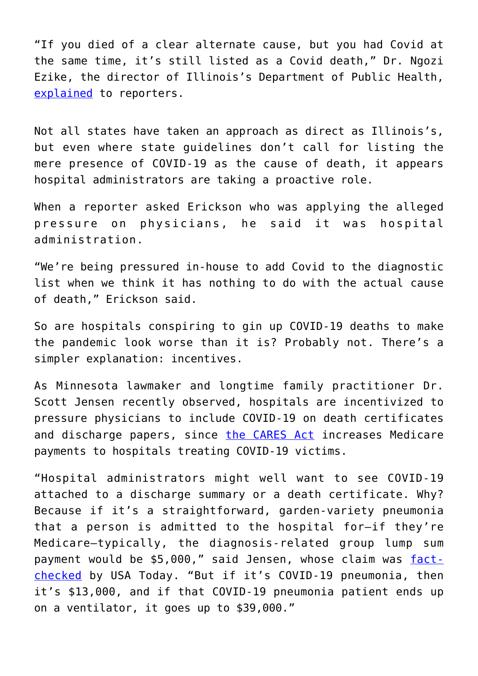"If you died of a clear alternate cause, but you had Covid at the same time, it's still listed as a Covid death," Dr. Ngozi Ezike, the director of Illinois's Department of Public Health, [explained](https://www.youtube.com/watch?v=H5FdnrRR2iY) to reporters.

Not all states have taken an approach as direct as Illinois's, but even where state guidelines don't call for listing the mere presence of COVID-19 as the cause of death, it appears hospital administrators are taking a proactive role.

When a reporter asked Erickson who was applying the alleged pressure on physicians, he said it was hospital administration.

"We're being pressured in-house to add Covid to the diagnostic list when we think it has nothing to do with the actual cause of death," Erickson said.

So are hospitals conspiring to gin up COVID-19 deaths to make the pandemic look worse than it is? Probably not. There's a simpler explanation: incentives.

As Minnesota lawmaker and longtime family practitioner Dr. Scott Jensen recently observed, hospitals are incentivized to pressure physicians to include COVID-19 on death certificates and discharge papers, since [the CARES Act](https://home.treasury.gov/policy-issues/cares) increases Medicare payments to hospitals treating COVID-19 victims.

"Hospital administrators might well want to see COVID-19 attached to a discharge summary or a death certificate. Why? Because if it's a straightforward, garden-variety pneumonia that a person is admitted to the hospital for—if they're Medicare—typically, the diagnosis-related group lump sum payment would be \$5,000," said Jensen, whose claim was [fact](https://www.usatoday.com/story/news/factcheck/2020/04/24/fact-check-medicare-hospitals-paid-more-covid-19-patients-coronavirus/3000638001/)[checked](https://www.usatoday.com/story/news/factcheck/2020/04/24/fact-check-medicare-hospitals-paid-more-covid-19-patients-coronavirus/3000638001/) by USA Today. "But if it's COVID-19 pneumonia, then it's \$13,000, and if that COVID-19 pneumonia patient ends up on a ventilator, it goes up to \$39,000."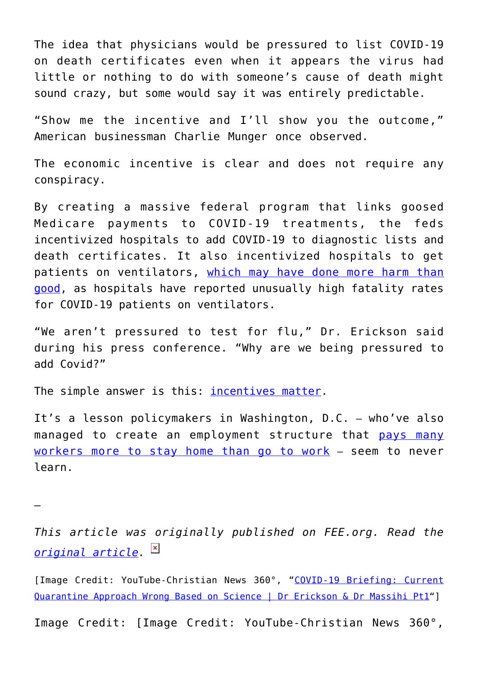The idea that physicians would be pressured to list COVID-19 on death certificates even when it appears the virus had little or nothing to do with someone's cause of death might sound crazy, but some would say it was entirely predictable.

"Show me the incentive and I'll show you the outcome," American businessman Charlie Munger once observed.

The economic incentive is clear and does not require any conspiracy.

By creating a massive federal program that links goosed Medicare payments to COVID-19 treatments, the feds incentivized hospitals to add COVID-19 to diagnostic lists and death certificates. It also incentivized hospitals to get patients on ventilators, [which may have done more harm than](https://time.com/5818547/ventilators-coronavirus/) [good](https://time.com/5818547/ventilators-coronavirus/), as hospitals have reported unusually high fatality rates for COVID-19 patients on ventilators.

"We aren't pressured to test for flu," Dr. Erickson said during his press conference. "Why are we being pressured to add Covid?"

The simple answer is this: [incentives matter](https://fee.org/articles/are-seat-belts-making-you-less-safe/).

It's a lesson policymakers in Washington, D.C. – who've also managed to create an employment structure that [pays many](https://www.forbes.com/sites/sarahhansen/2020/04/22/another-small-business-headache-some-employees-are-asking-to-be-laid-off-thanks-to-higher-unemployment-benefits/#55a5f2e56c69) [workers more to stay home than go to work](https://www.forbes.com/sites/sarahhansen/2020/04/22/another-small-business-headache-some-employees-are-asking-to-be-laid-off-thanks-to-higher-unemployment-benefits/#55a5f2e56c69) – seem to never learn.

—

*This article was originally published on FEE.org. Read the [original article.](https://fee.org/articles/physicians-say-hospitals-are-pressuring-er-docs-to-list-covid-19-on-death-certificates-here-s-why/)*

[Image Credit: YouTube-Christian News 360°, "[COVID-19 Briefing: Current](https://www.youtube.com/watch?v=vJprwe_rWeM#action=share) [Quarantine Approach Wrong Based on Science | Dr Erickson & Dr Massihi Pt1"](https://www.youtube.com/watch?v=vJprwe_rWeM#action=share)]

Image Credit: [Image Credit: YouTube-Christian News 360°,